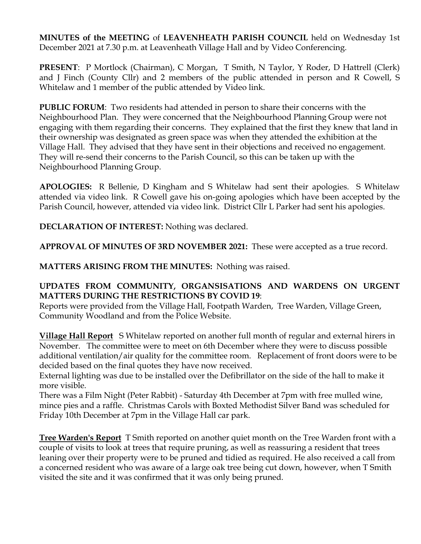**MINUTES of the MEETING** of **LEAVENHEATH PARISH COUNCIL** held on Wednesday 1st December 2021 at 7.30 p.m. at Leavenheath Village Hall and by Video Conferencing.

**PRESENT**: P Mortlock (Chairman), C Morgan, T Smith, N Taylor, Y Roder, D Hattrell (Clerk) and J Finch (County Cllr) and 2 members of the public attended in person and R Cowell, S Whitelaw and 1 member of the public attended by Video link.

**PUBLIC FORUM**: Two residents had attended in person to share their concerns with the Neighbourhood Plan. They were concerned that the Neighbourhood Planning Group were not engaging with them regarding their concerns. They explained that the first they knew that land in their ownership was designated as green space was when they attended the exhibition at the Village Hall. They advised that they have sent in their objections and received no engagement. They will re-send their concerns to the Parish Council, so this can be taken up with the Neighbourhood Planning Group.

**APOLOGIES:** R Bellenie, D Kingham and S Whitelaw had sent their apologies. S Whitelaw attended via video link. R Cowell gave his on-going apologies which have been accepted by the Parish Council, however, attended via video link. District Cllr L Parker had sent his apologies.

**DECLARATION OF INTEREST:** Nothing was declared.

**APPROVAL OF MINUTES OF 3RD NOVEMBER 2021:** These were accepted as a true record.

**MATTERS ARISING FROM THE MINUTES:** Nothing was raised.

## **UPDATES FROM COMMUNITY, ORGANSISATIONS AND WARDENS ON URGENT MATTERS DURING THE RESTRICTIONS BY COVID 19**:

Reports were provided from the Village Hall, Footpath Warden, Tree Warden, Village Green, Community Woodland and from the Police Website.

**Village Hall Report** S Whitelaw reported on another full month of regular and external hirers in November. The committee were to meet on 6th December where they were to discuss possible additional ventilation/air quality for the committee room. Replacement of front doors were to be decided based on the final quotes they have now received.

External lighting was due to be installed over the Defibrillator on the side of the hall to make it more visible.

There was a Film Night (Peter Rabbit) - Saturday 4th December at 7pm with free mulled wine, mince pies and a raffle. Christmas Carols with Boxted Methodist Silver Band was scheduled for Friday 10th December at 7pm in the Village Hall car park.

**Tree Warden's Report** T Smith reported on another quiet month on the Tree Warden front with a couple of visits to look at trees that require pruning, as well as reassuring a resident that trees leaning over their property were to be pruned and tidied as required. He also received a call from a concerned resident who was aware of a large oak tree being cut down, however, when T Smith visited the site and it was confirmed that it was only being pruned.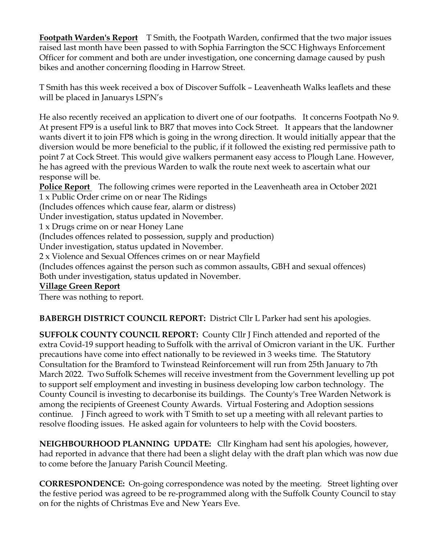**Footpath Warden's Report** T Smith, the Footpath Warden, confirmed that the two major issues raised last month have been passed to with Sophia Farrington the SCC Highways Enforcement Officer for comment and both are under investigation, one concerning damage caused by push bikes and another concerning flooding in Harrow Street.

T Smith has this week received a box of Discover Suffolk – Leavenheath Walks leaflets and these will be placed in Januarys LSPN's

He also recently received an application to divert one of our footpaths. It concerns Footpath No 9. At present FP9 is a useful link to BR7 that moves into Cock Street. It appears that the landowner wants divert it to join FP8 which is going in the wrong direction. It would initially appear that the diversion would be more beneficial to the public, if it followed the existing red permissive path to point 7 at Cock Street. This would give walkers permanent easy access to Plough Lane. However, he has agreed with the previous Warden to walk the route next week to ascertain what our response will be.

**Police Report** The following crimes were reported in the Leavenheath area in October 2021 1 x Public Order crime on or near The Ridings

(Includes offences which cause fear, alarm or distress)

Under investigation, status updated in November.

1 x Drugs crime on or near Honey Lane

(Includes offences related to possession, supply and production)

Under investigation, status updated in November.

2 x Violence and Sexual Offences crimes on or near Mayfield

(Includes offences against the person such as common assaults, GBH and sexual offences)

Both under investigation, status updated in November.

### **Village Green Report**

There was nothing to report.

**BABERGH DISTRICT COUNCIL REPORT:** District Cllr L Parker had sent his apologies.

**SUFFOLK COUNTY COUNCIL REPORT:** County Cllr J Finch attended and reported of the extra Covid-19 support heading to Suffolk with the arrival of Omicron variant in the UK. Further precautions have come into effect nationally to be reviewed in 3 weeks time. The Statutory Consultation for the Bramford to Twinstead Reinforcement will run from 25th January to 7th March 2022. Two Suffolk Schemes will receive investment from the Government levelling up pot to support self employment and investing in business developing low carbon technology. The County Council is investing to decarbonise its buildings. The County's Tree Warden Network is among the recipients of Greenest County Awards. Virtual Fostering and Adoption sessions continue. J Finch agreed to work with T Smith to set up a meeting with all relevant parties to resolve flooding issues. He asked again for volunteers to help with the Covid boosters.

**NEIGHBOURHOOD PLANNING UPDATE:** Cllr Kingham had sent his apologies, however, had reported in advance that there had been a slight delay with the draft plan which was now due to come before the January Parish Council Meeting.

**CORRESPONDENCE:** On-going correspondence was noted by the meeting. Street lighting over the festive period was agreed to be re-programmed along with the Suffolk County Council to stay on for the nights of Christmas Eve and New Years Eve.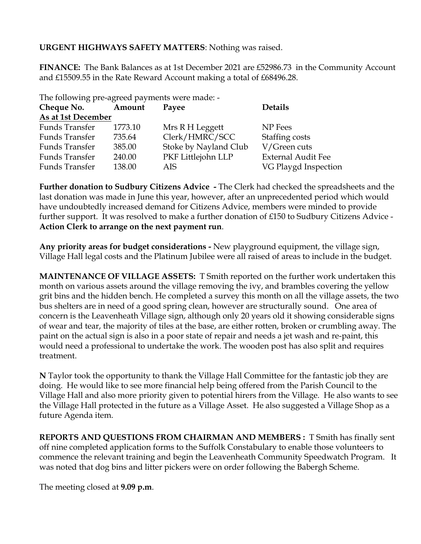## **URGENT HIGHWAYS SAFETY MATTERS**: Nothing was raised.

**FINANCE:** The Bank Balances as at 1st December 2021 are £52986.73 in the Community Account and £15509.55 in the Rate Reward Account making a total of £68496.28.

| The following pre-agreed payments were made: - |         |                       |                           |
|------------------------------------------------|---------|-----------------------|---------------------------|
| Cheque No.                                     | Amount  | Payee                 | <b>Details</b>            |
| As at 1st December                             |         |                       |                           |
| Funds Transfer                                 | 1773.10 | Mrs R H Leggett       | NP Fees                   |
| Funds Transfer                                 | 735.64  | Clerk/HMRC/SCC        | Staffing costs            |
| Funds Transfer                                 | 385.00  | Stoke by Nayland Club | V/Green cuts              |
| Funds Transfer                                 | 240.00  | PKF Littlejohn LLP    | <b>External Audit Fee</b> |
| Funds Transfer                                 | 138.00  | AIS                   | VG Playgd Inspection      |

**Further donation to Sudbury Citizens Advice -** The Clerk had checked the spreadsheets and the last donation was made in June this year, however, after an unprecedented period which would have undoubtedly increased demand for Citizens Advice, members were minded to provide further support. It was resolved to make a further donation of £150 to Sudbury Citizens Advice - **Action Clerk to arrange on the next payment run**.

**Any priority areas for budget considerations -** New playground equipment, the village sign, Village Hall legal costs and the Platinum Jubilee were all raised of areas to include in the budget.

**MAINTENANCE OF VILLAGE ASSETS:** T Smith reported on the further work undertaken this month on various assets around the village removing the ivy, and brambles covering the yellow grit bins and the hidden bench. He completed a survey this month on all the village assets, the two bus shelters are in need of a good spring clean, however are structurally sound. One area of concern is the Leavenheath Village sign, although only 20 years old it showing considerable signs of wear and tear, the majority of tiles at the base, are either rotten, broken or crumbling away. The paint on the actual sign is also in a poor state of repair and needs a jet wash and re-paint, this would need a professional to undertake the work. The wooden post has also split and requires treatment.

**N** Taylor took the opportunity to thank the Village Hall Committee for the fantastic job they are doing. He would like to see more financial help being offered from the Parish Council to the Village Hall and also more priority given to potential hirers from the Village. He also wants to see the Village Hall protected in the future as a Village Asset. He also suggested a Village Shop as a future Agenda item.

**REPORTS AND QUESTIONS FROM CHAIRMAN AND MEMBERS :** T Smith has finally sent off nine completed application forms to the Suffolk Constabulary to enable those volunteers to commence the relevant training and begin the Leavenheath Community Speedwatch Program. It was noted that dog bins and litter pickers were on order following the Babergh Scheme.

The meeting closed at **9.09 p.m**.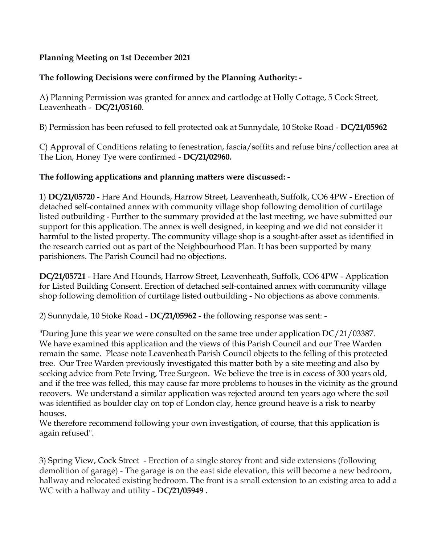## **Planning Meeting on 1st December 2021**

# **The following Decisions were confirmed by the Planning Authority: -**

A) Planning Permission was granted for annex and cartlodge at Holly Cottage, 5 Cock Street, Leavenheath - **DC/21/05160**.

B) Permission has been refused to fell protected oak at Sunnydale, 10 Stoke Road - **DC/21/05962** 

C) Approval of Conditions relating to fenestration, fascia/soffits and refuse bins/collection area at The Lion, Honey Tye were confirmed - **DC/21/02960.** 

### **The following applications and planning matters were discussed: -**

1) **DC/21/05720** - Hare And Hounds, Harrow Street, Leavenheath, Suffolk, CO6 4PW - Erection of detached self-contained annex with community village shop following demolition of curtilage listed outbuilding - Further to the summary provided at the last meeting, we have submitted our support for this application. The annex is well designed, in keeping and we did not consider it harmful to the listed property. The community village shop is a sought-after asset as identified in the research carried out as part of the Neighbourhood Plan. It has been supported by many parishioners. The Parish Council had no objections.

**DC/21/05721** - Hare And Hounds, Harrow Street, Leavenheath, Suffolk, CO6 4PW - Application for Listed Building Consent. Erection of detached self-contained annex with community village shop following demolition of curtilage listed outbuilding - No objections as above comments.

2) Sunnydale, 10 Stoke Road - **DC/21/05962** - the following response was sent: -

"During June this year we were consulted on the same tree under application DC/21/03387. We have examined this application and the views of this Parish Council and our Tree Warden remain the same. Please note Leavenheath Parish Council objects to the felling of this protected tree. Our Tree Warden previously investigated this matter both by a site meeting and also by seeking advice from Pete Irving, Tree Surgeon. We believe the tree is in excess of 300 years old, and if the tree was felled, this may cause far more problems to houses in the vicinity as the ground recovers. We understand a similar application was rejected around ten years ago where the soil was identified as boulder clay on top of London clay, hence ground heave is a risk to nearby houses.

We therefore recommend following your own investigation, of course, that this application is again refused".

3) Spring View, Cock Street - Erection of a single storey front and side extensions (following demolition of garage) - The garage is on the east side elevation, this will become a new bedroom, hallway and relocated existing bedroom. The front is a small extension to an existing area to add a WC with a hallway and utility - **DC/21/05949 .**